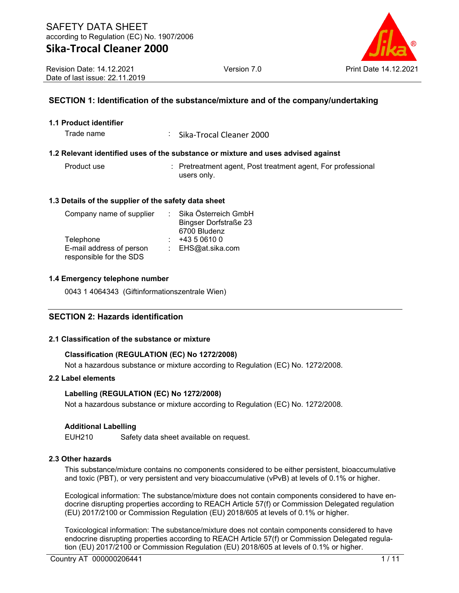Revision Date: 14.12.2021 Date of last issue: 22.11.2019

## **SECTION 1: Identification of the substance/mixture and of the company/undertaking**

## **1.1 Product identifier**

Trade name : Sika-Trocal Cleaner 2000

## **1.2 Relevant identified uses of the substance or mixture and uses advised against**

| Product use | : Pretreatment agent, Post treatment agent, For professional |
|-------------|--------------------------------------------------------------|
|             | users only.                                                  |

## **1.3 Details of the supplier of the safety data sheet**

| Company name of supplier | Sika Österreich GmbH         |
|--------------------------|------------------------------|
|                          | <b>Bingser Dorfstraße 23</b> |
|                          | 6700 Bludenz                 |
| Telephone                | +43 5 0610 0                 |
| E-mail address of person | : EHS@at.sika.com            |
| responsible for the SDS  |                              |

## **1.4 Emergency telephone number**

0043 1 4064343 (Giftinformationszentrale Wien)

## **SECTION 2: Hazards identification**

## **2.1 Classification of the substance or mixture**

## **Classification (REGULATION (EC) No 1272/2008)**

Not a hazardous substance or mixture according to Regulation (EC) No. 1272/2008.

## **2.2 Label elements**

#### **Labelling (REGULATION (EC) No 1272/2008)**

Not a hazardous substance or mixture according to Regulation (EC) No. 1272/2008.

#### **Additional Labelling**

EUH210 Safety data sheet available on request.

#### **2.3 Other hazards**

This substance/mixture contains no components considered to be either persistent, bioaccumulative and toxic (PBT), or very persistent and very bioaccumulative (vPvB) at levels of 0.1% or higher.

Ecological information: The substance/mixture does not contain components considered to have endocrine disrupting properties according to REACH Article 57(f) or Commission Delegated regulation (EU) 2017/2100 or Commission Regulation (EU) 2018/605 at levels of 0.1% or higher.

Toxicological information: The substance/mixture does not contain components considered to have endocrine disrupting properties according to REACH Article 57(f) or Commission Delegated regulation (EU) 2017/2100 or Commission Regulation (EU) 2018/605 at levels of 0.1% or higher.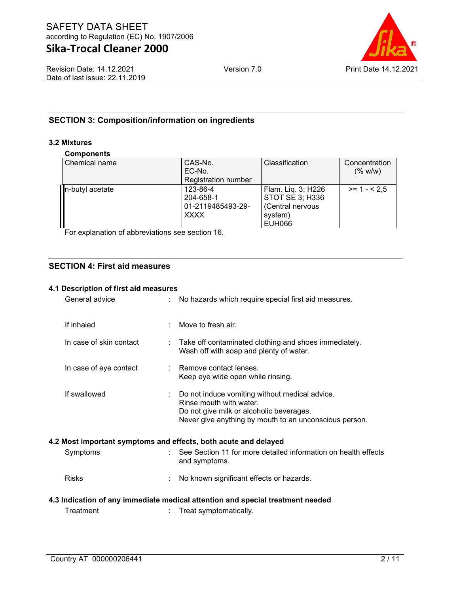

## **SECTION 3: Composition/information on ingredients**

## **3.2 Mixtures**

#### **Components**

| <b>VUIINVIIUILU</b> |                            |                    |               |
|---------------------|----------------------------|--------------------|---------------|
| Chemical name       | CAS-No.                    | Classification     | Concentration |
|                     | EC-No.                     |                    | (% w/w)       |
|                     | <b>Registration number</b> |                    |               |
| n-butyl acetate     | 123-86-4                   | Flam. Liq. 3; H226 | $>= 1 - 2.5$  |
|                     | 204-658-1                  | STOT SE 3; H336    |               |
|                     | 01-2119485493-29-          | (Central nervous   |               |
|                     | <b>XXXX</b>                | system)            |               |
|                     |                            | <b>EUH066</b>      |               |

For explanation of abbreviations see section 16.

## **SECTION 4: First aid measures**

#### **4.1 Description of first aid measures**

| General advice          |   | No hazards which require special first aid measures.                                                                                                                            |
|-------------------------|---|---------------------------------------------------------------------------------------------------------------------------------------------------------------------------------|
| If inhaled              | ÷ | Move to fresh air.                                                                                                                                                              |
| In case of skin contact |   | Take off contaminated clothing and shoes immediately.<br>Wash off with soap and plenty of water.                                                                                |
| In case of eye contact  |   | Remove contact lenses.<br>Keep eye wide open while rinsing.                                                                                                                     |
| If swallowed            | ÷ | Do not induce vomiting without medical advice.<br>Rinse mouth with water.<br>Do not give milk or alcoholic beverages.<br>Never give anything by mouth to an unconscious person. |
|                         |   | 4.2 Most important symptoms and effects, both acute and delayed                                                                                                                 |
| Symptoms                |   | See Section 11 for more detailed information on health effects<br>and symptoms.                                                                                                 |
| <b>Risks</b>            |   | No known significant effects or hazards.                                                                                                                                        |
|                         |   | 4.3 Indication of any immediate medical attention and special treatment needed                                                                                                  |
| Treatment               |   | Treat symptomatically.                                                                                                                                                          |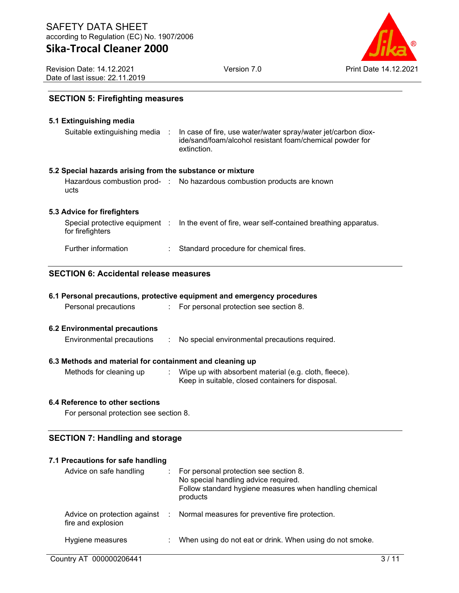Version 7.0 Print Date 14.12.2021

Revision Date: 14.12.2021 Date of last issue: 22.11.2019

## **SECTION 5: Firefighting measures**

| 5.1 Extinguishing media                                   |                                                                                                                                          |
|-----------------------------------------------------------|------------------------------------------------------------------------------------------------------------------------------------------|
| Suitable extinguishing media :                            | In case of fire, use water/water spray/water jet/carbon diox-<br>ide/sand/foam/alcohol resistant foam/chemical powder for<br>extinction. |
| 5.2 Special hazards arising from the substance or mixture |                                                                                                                                          |
| ucts                                                      | Hazardous combustion prod- : No hazardous combustion products are known                                                                  |
| 5.3 Advice for firefighters                               |                                                                                                                                          |
| for firefighters                                          | Special protective equipment : In the event of fire, wear self-contained breathing apparatus.                                            |
| Further information                                       | Standard procedure for chemical fires.                                                                                                   |

## **SECTION 6: Accidental release measures**

|  |  | 6.1 Personal precautions, protective equipment and emergency procedures |  |  |  |  |  |
|--|--|-------------------------------------------------------------------------|--|--|--|--|--|
|--|--|-------------------------------------------------------------------------|--|--|--|--|--|

Personal precautions : For personal protection see section 8.

#### **6.2 Environmental precautions**

Environmental precautions : No special environmental precautions required.

## **6.3 Methods and material for containment and cleaning up**

- 
- Methods for cleaning up : Wipe up with absorbent material (e.g. cloth, fleece). Keep in suitable, closed containers for disposal.

## **6.4 Reference to other sections**

For personal protection see section 8.

## **SECTION 7: Handling and storage**

## **7.1 Precautions for safe handling**

| Advice on safe handling | : For personal protection see section 8.<br>No special handling advice required.<br>Follow standard hygiene measures when handling chemical<br>products |
|-------------------------|---------------------------------------------------------------------------------------------------------------------------------------------------------|
| fire and explosion      | Advice on protection against : Normal measures for preventive fire protection.                                                                          |
| Hygiene measures        | When using do not eat or drink. When using do not smoke.                                                                                                |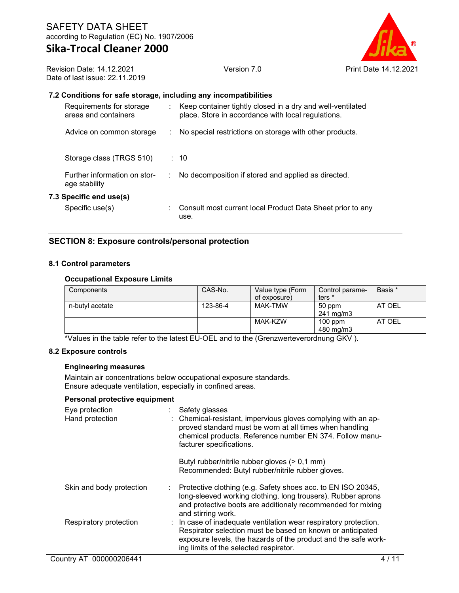

Revision Date: 14.12.2021 Date of last issue: 22.11.2019

## **7.2 Conditions for safe storage, including any incompatibilities**

| Requirements for storage<br>areas and containers |   | : Keep container tightly closed in a dry and well-ventilated<br>place. Store in accordance with local regulations. |
|--------------------------------------------------|---|--------------------------------------------------------------------------------------------------------------------|
| Advice on common storage                         | ÷ | No special restrictions on storage with other products.                                                            |
| Storage class (TRGS 510)                         |   | : 10                                                                                                               |
| Further information on stor-<br>age stability    |   | No decomposition if stored and applied as directed.                                                                |
| 7.3 Specific end use(s)                          |   |                                                                                                                    |
| Specific use(s)                                  |   | Consult most current local Product Data Sheet prior to any<br>use.                                                 |

## **SECTION 8: Exposure controls/personal protection**

## **8.1 Control parameters**

#### **Occupational Exposure Limits**

| Components      | CAS-No.  | Value type (Form<br>of exposure) | Control parame-<br>ters *    | Basis * |
|-----------------|----------|----------------------------------|------------------------------|---------|
| n-butyl acetate | 123-86-4 | MAK-TMW                          | 50 ppm<br>$241 \text{ mg/m}$ | AT OEL  |
|                 |          | MAK-KZW                          | $100$ ppm<br>480 mg/m3       | AT OEL  |

\*Values in the table refer to the latest EU-OEL and to the (Grenzwerteverordnung GKV ).

#### **8.2 Exposure controls**

#### **Engineering measures**

Maintain air concentrations below occupational exposure standards. Ensure adequate ventilation, especially in confined areas.

#### **Personal protective equipment**

| Eye protection<br>Hand protection | Safety glasses<br>: Chemical-resistant, impervious gloves complying with an ap-<br>proved standard must be worn at all times when handling<br>chemical products. Reference number EN 374. Follow manu-<br>facturer specifications.         |
|-----------------------------------|--------------------------------------------------------------------------------------------------------------------------------------------------------------------------------------------------------------------------------------------|
|                                   | Butyl rubber/nitrile rubber gloves (> 0,1 mm)<br>Recommended: Butyl rubber/nitrile rubber gloves.                                                                                                                                          |
| Skin and body protection          | Protective clothing (e.g. Safety shoes acc. to EN ISO 20345,<br>long-sleeved working clothing, long trousers). Rubber aprons<br>and protective boots are additionaly recommended for mixing<br>and stirring work.                          |
| Respiratory protection            | : In case of inadequate ventilation wear respiratory protection.<br>Respirator selection must be based on known or anticipated<br>exposure levels, the hazards of the product and the safe work-<br>ing limits of the selected respirator. |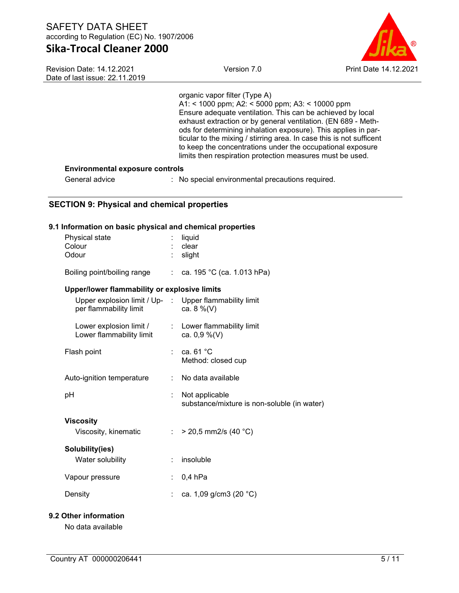Revision Date: 14.12.2021 Date of last issue: 22.11.2019



## organic vapor filter (Type A)

A1: < 1000 ppm; A2: < 5000 ppm; A3: < 10000 ppm Ensure adequate ventilation. This can be achieved by local exhaust extraction or by general ventilation. (EN 689 - Methods for determining inhalation exposure). This applies in particular to the mixing / stirring area. In case this is not sufficent to keep the concentrations under the occupational exposure limits then respiration protection measures must be used.

## **Environmental exposure controls**

General advice : No special environmental precautions required.

## **SECTION 9: Physical and chemical properties**

## **9.1 Information on basic physical and chemical properties**

| Physical state<br>Colour<br>Odour                                                |    | liquid<br>clear<br>slight                                     |
|----------------------------------------------------------------------------------|----|---------------------------------------------------------------|
| Boiling point/boiling range : ca. 195 °C (ca. 1.013 hPa)                         |    |                                                               |
| Upper/lower flammability or explosive limits                                     |    |                                                               |
| Upper explosion limit / Up- : Upper flammability limit<br>per flammability limit |    | ca. $8\%$ (V)                                                 |
| Lower explosion limit /<br>Lower flammability limit                              |    | : Lower flammability limit<br>ca. $0,9\%$ (V)                 |
| Flash point                                                                      |    | ca. $61 °C$<br>Method: closed cup                             |
| Auto-ignition temperature                                                        | ÷  | No data available                                             |
| рH                                                                               |    | Not applicable<br>substance/mixture is non-soluble (in water) |
| <b>Viscosity</b><br>Viscosity, kinematic                                         |    | : > 20,5 mm2/s (40 °C)                                        |
| Solubility(ies)<br>Water solubility                                              |    | insoluble                                                     |
| Vapour pressure                                                                  | t. | $0,4$ hPa                                                     |
| Density                                                                          |    | ca. 1,09 g/cm3 (20 °C)                                        |
|                                                                                  |    |                                                               |

## **9.2 Other information**

No data available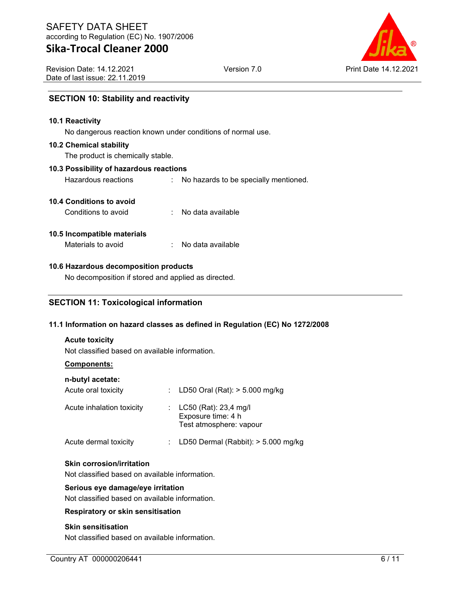Revision Date: 14.12.2021 Date of last issue: 22.11.2019



## **SECTION 10: Stability and reactivity**

#### **10.1 Reactivity**

No dangerous reaction known under conditions of normal use.

#### **10.2 Chemical stability**

The product is chemically stable.

#### **10.3 Possibility of hazardous reactions**

Hazardous reactions : No hazards to be specially mentioned.

## **10.4 Conditions to avoid**

| Conditions to avoid |  | No data available |
|---------------------|--|-------------------|
|---------------------|--|-------------------|

#### **10.5 Incompatible materials**

Materials to avoid : No data available

## **10.6 Hazardous decomposition products**

No decomposition if stored and applied as directed.

## **SECTION 11: Toxicological information**

## **11.1 Information on hazard classes as defined in Regulation (EC) No 1272/2008**

## **Acute toxicity**

Not classified based on available information.

## **Components:**

| n-butyl acetate:<br>Acute oral toxicity | : LD50 Oral (Rat): $> 5.000$ mg/kg                                         |
|-----------------------------------------|----------------------------------------------------------------------------|
| Acute inhalation toxicity               | : $LC50$ (Rat): 23,4 mg/l<br>Exposure time: 4 h<br>Test atmosphere: vapour |
| Acute dermal toxicity                   | LD50 Dermal (Rabbit): > 5.000 mg/kg                                        |

## **Skin corrosion/irritation**

Not classified based on available information.

#### **Serious eye damage/eye irritation**

Not classified based on available information.

#### **Respiratory or skin sensitisation**

## **Skin sensitisation**

Not classified based on available information.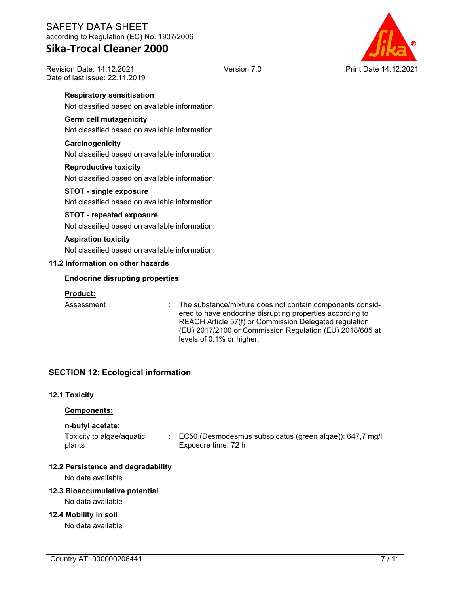## SAFETY DATA SHEET according to Regulation (EC) No. 1907/2006

# **Sika-Trocal Cleaner 2000**

Revision Date: 14.12.2021 Date of last issue: 22.11.2019



## **Respiratory sensitisation**

Not classified based on available information.

## **Germ cell mutagenicity**

Not classified based on available information.

#### **Carcinogenicity**

Not classified based on available information.

#### **Reproductive toxicity**

Not classified based on available information.

## **STOT - single exposure**

Not classified based on available information.

## **STOT - repeated exposure**

Not classified based on available information.

#### **Aspiration toxicity**

Not classified based on available information.

## **11.2 Information on other hazards**

## **Endocrine disrupting properties**

## **Product:**

Assessment : The substance/mixture does not contain components considered to have endocrine disrupting properties according to REACH Article 57(f) or Commission Delegated regulation (EU) 2017/2100 or Commission Regulation (EU) 2018/605 at levels of 0.1% or higher.

## **SECTION 12: Ecological information**

#### **12.1 Toxicity**

#### **Components:**

#### **n-butyl acetate:**

Toxicity to algae/aquatic plants : EC50 (Desmodesmus subspicatus (green algae)): 647,7 mg/l Exposure time: 72 h

## **12.2 Persistence and degradability**

No data available

## **12.3 Bioaccumulative potential**

No data available

## **12.4 Mobility in soil**

No data available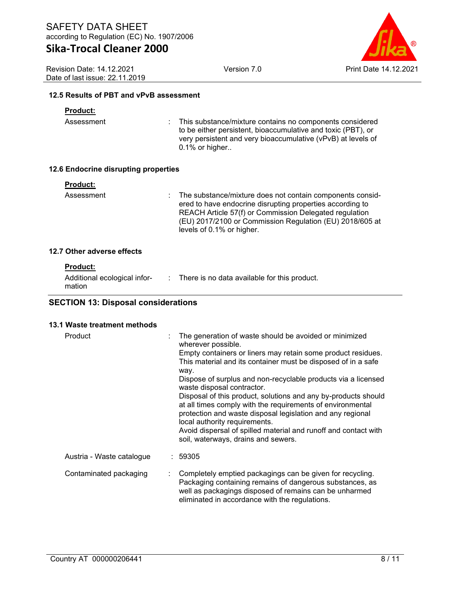Revision Date: 14.12.2021 Date of last issue: 22.11.2019



## **12.5 Results of PBT and vPvB assessment**

## **Product:**

Assessment : This substance/mixture contains no components considered to be either persistent, bioaccumulative and toxic (PBT), or very persistent and very bioaccumulative (vPvB) at levels of 0.1% or higher..

## **12.6 Endocrine disrupting properties**

| Product: |  |
|----------|--|
|          |  |

Assessment : The substance/mixture does not contain components considered to have endocrine disrupting properties according to REACH Article 57(f) or Commission Delegated regulation (EU) 2017/2100 or Commission Regulation (EU) 2018/605 at levels of 0.1% or higher.

## **12.7 Other adverse effects**

#### **Product:**

| Additional ecological infor-<br>mation | : There is no data available for this product. |
|----------------------------------------|------------------------------------------------|
|                                        |                                                |

## **SECTION 13: Disposal considerations**

#### **13.1 Waste treatment methods**

| Product                   | The generation of waste should be avoided or minimized<br>wherever possible.<br>Empty containers or liners may retain some product residues.<br>This material and its container must be disposed of in a safe<br>way.<br>Dispose of surplus and non-recyclable products via a licensed<br>waste disposal contractor.<br>Disposal of this product, solutions and any by-products should<br>at all times comply with the requirements of environmental<br>protection and waste disposal legislation and any regional<br>local authority requirements.<br>Avoid dispersal of spilled material and runoff and contact with<br>soil, waterways, drains and sewers. |
|---------------------------|---------------------------------------------------------------------------------------------------------------------------------------------------------------------------------------------------------------------------------------------------------------------------------------------------------------------------------------------------------------------------------------------------------------------------------------------------------------------------------------------------------------------------------------------------------------------------------------------------------------------------------------------------------------|
| Austria - Waste catalogue | : 59305                                                                                                                                                                                                                                                                                                                                                                                                                                                                                                                                                                                                                                                       |
| Contaminated packaging    | Completely emptied packagings can be given for recycling.<br>Packaging containing remains of dangerous substances, as<br>well as packagings disposed of remains can be unharmed<br>eliminated in accordance with the regulations.                                                                                                                                                                                                                                                                                                                                                                                                                             |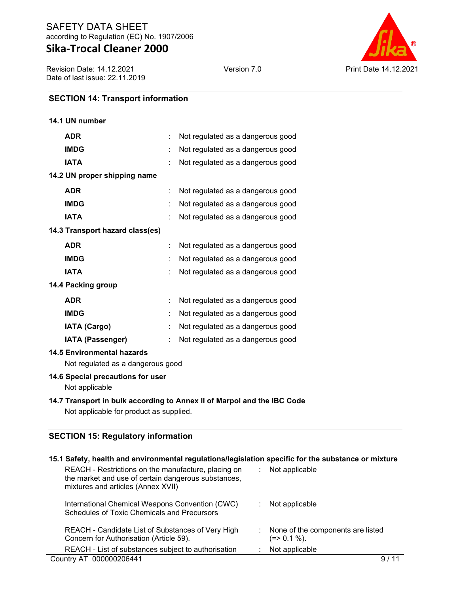Revision Date: 14.12.2021 Date of last issue: 22.11.2019



## **SECTION 14: Transport information**

| 14.1 UN number                                                         |  |                                   |  |  |  |
|------------------------------------------------------------------------|--|-----------------------------------|--|--|--|
| <b>ADR</b>                                                             |  | Not regulated as a dangerous good |  |  |  |
| <b>IMDG</b>                                                            |  | Not regulated as a dangerous good |  |  |  |
| <b>IATA</b>                                                            |  | Not regulated as a dangerous good |  |  |  |
| 14.2 UN proper shipping name                                           |  |                                   |  |  |  |
| <b>ADR</b>                                                             |  | Not regulated as a dangerous good |  |  |  |
| <b>IMDG</b>                                                            |  | Not regulated as a dangerous good |  |  |  |
| <b>IATA</b>                                                            |  | Not regulated as a dangerous good |  |  |  |
| 14.3 Transport hazard class(es)                                        |  |                                   |  |  |  |
| <b>ADR</b>                                                             |  | Not regulated as a dangerous good |  |  |  |
| <b>IMDG</b>                                                            |  | Not regulated as a dangerous good |  |  |  |
| <b>IATA</b>                                                            |  | Not regulated as a dangerous good |  |  |  |
| 14.4 Packing group                                                     |  |                                   |  |  |  |
| <b>ADR</b>                                                             |  | Not regulated as a dangerous good |  |  |  |
| <b>IMDG</b>                                                            |  | Not regulated as a dangerous good |  |  |  |
| <b>IATA (Cargo)</b>                                                    |  | Not regulated as a dangerous good |  |  |  |
| IATA (Passenger)                                                       |  | Not regulated as a dangerous good |  |  |  |
| <b>14.5 Environmental hazards</b><br>Not regulated as a dangerous good |  |                                   |  |  |  |
| 14.6 Special precautions for user<br>Not applicable                    |  |                                   |  |  |  |

## **14.7 Transport in bulk according to Annex II of Marpol and the IBC Code**

Not applicable for product as supplied.

## **SECTION 15: Regulatory information**

| 15.1 Safety, health and environmental regulations/legislation specific for the substance or mixture                                              |                                                  |
|--------------------------------------------------------------------------------------------------------------------------------------------------|--------------------------------------------------|
| REACH - Restrictions on the manufacture, placing on<br>the market and use of certain dangerous substances,<br>mixtures and articles (Annex XVII) | Not applicable                                   |
| International Chemical Weapons Convention (CWC)<br>Schedules of Toxic Chemicals and Precursors                                                   | Not applicable                                   |
| REACH - Candidate List of Substances of Very High<br>Concern for Authorisation (Article 59).                                                     | None of the components are listed<br>(=> 0.1 %). |
| REACH - List of substances subject to authorisation                                                                                              | Not applicable                                   |
| Country AT 000000206441                                                                                                                          |                                                  |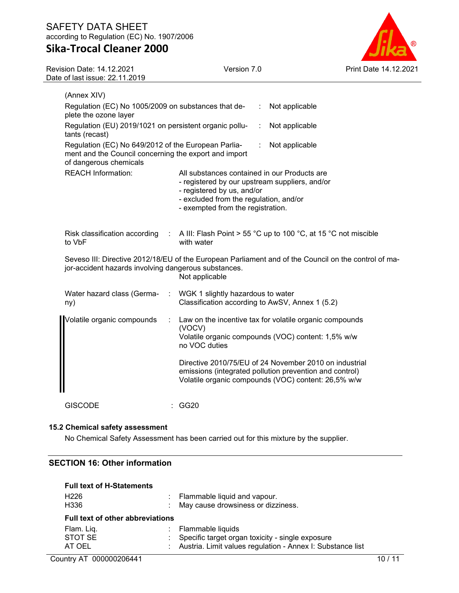## SAFETY DATA SHEET according to Regulation (EC) No. 1907/2006

# **Sika-Trocal Cleaner 2000**



| Revision Date: 14.12.2021<br>Date of last issue: 22.11.2019                                                                            | Version 7.0                                                                                                                                                                                                 | Print Date 14.12.2021 |  |  |  |
|----------------------------------------------------------------------------------------------------------------------------------------|-------------------------------------------------------------------------------------------------------------------------------------------------------------------------------------------------------------|-----------------------|--|--|--|
| (Annex XIV)                                                                                                                            |                                                                                                                                                                                                             |                       |  |  |  |
| plete the ozone layer                                                                                                                  | Regulation (EC) No 1005/2009 on substances that de-<br>Not applicable                                                                                                                                       |                       |  |  |  |
| tants (recast)                                                                                                                         | Regulation (EU) 2019/1021 on persistent organic pollu-<br>Not applicable<br>÷                                                                                                                               |                       |  |  |  |
| Regulation (EC) No 649/2012 of the European Parlia-<br>ment and the Council concerning the export and import<br>of dangerous chemicals | Not applicable                                                                                                                                                                                              |                       |  |  |  |
| <b>REACH Information:</b>                                                                                                              | All substances contained in our Products are<br>- registered by our upstream suppliers, and/or<br>- registered by us, and/or<br>- excluded from the regulation, and/or<br>- exempted from the registration. |                       |  |  |  |
| Risk classification according<br>to VbF                                                                                                | : A III: Flash Point > 55 °C up to 100 °C, at 15 °C not miscible<br>with water                                                                                                                              |                       |  |  |  |
| jor-accident hazards involving dangerous substances.                                                                                   | Seveso III: Directive 2012/18/EU of the European Parliament and of the Council on the control of ma-<br>Not applicable                                                                                      |                       |  |  |  |
| Water hazard class (Germa-<br>ny)                                                                                                      | WGK 1 slightly hazardous to water<br>Classification according to AwSV, Annex 1 (5.2)                                                                                                                        |                       |  |  |  |
| Volatile organic compounds                                                                                                             | Law on the incentive tax for volatile organic compounds<br>(VOCV)<br>Volatile organic compounds (VOC) content: 1,5% w/w<br>no VOC duties                                                                    |                       |  |  |  |
|                                                                                                                                        | Directive 2010/75/EU of 24 November 2010 on industrial<br>emissions (integrated pollution prevention and control)<br>Volatile organic compounds (VOC) content: 26,5% w/w                                    |                       |  |  |  |

GISCODE : GG20

## **15.2 Chemical safety assessment**

No Chemical Safety Assessment has been carried out for this mixture by the supplier.

## **SECTION 16: Other information**

| <b>Full text of H-Statements</b>        |  |                                                              |  |  |
|-----------------------------------------|--|--------------------------------------------------------------|--|--|
| H <sub>226</sub>                        |  | : Flammable liquid and vapour.                               |  |  |
| H336                                    |  | May cause drowsiness or dizziness.                           |  |  |
| <b>Full text of other abbreviations</b> |  |                                                              |  |  |
| Flam. Liq.                              |  | : Flammable liquids                                          |  |  |
| STOT SE                                 |  | : Specific target organ toxicity - single exposure           |  |  |
| AT OEL                                  |  | : Austria. Limit values regulation - Annex I: Substance list |  |  |